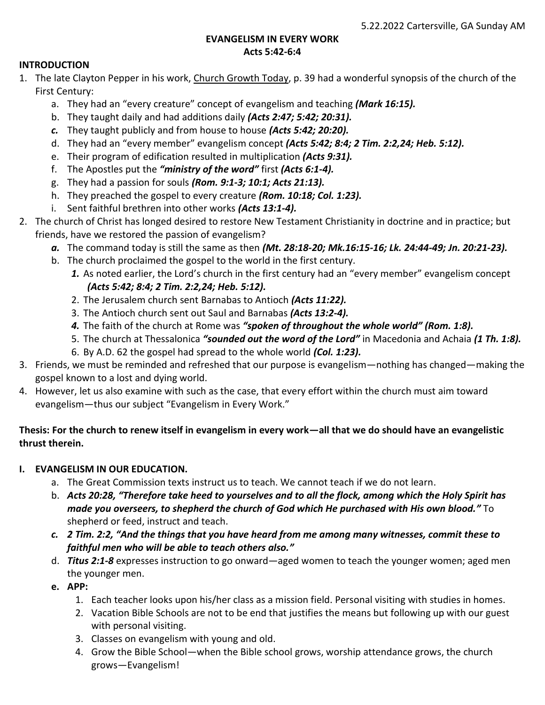### **EVANGELISM IN EVERY WORK Acts 5:42-6:4**

## **INTRODUCTION**

- 1. The late Clayton Pepper in his work, Church Growth Today, p. 39 had a wonderful synopsis of the church of the First Century:
	- a. They had an "every creature" concept of evangelism and teaching *(Mark 16:15).*
	- b. They taught daily and had additions daily *(Acts 2:47; 5:42; 20:31).*
	- *c.* They taught publicly and from house to house *(Acts 5:42; 20:20).*
	- d. They had an "every member" evangelism concept *(Acts 5:42; 8:4; 2 Tim. 2:2,24; Heb. 5:12).*
	- e. Their program of edification resulted in multiplication *(Acts 9:31).*
	- f. The Apostles put the *"ministry of the word"* first *(Acts 6:1-4).*
	- g. They had a passion for souls *(Rom. 9:1-3; 10:1; Acts 21:13).*
	- h. They preached the gospel to every creature *(Rom. 10:18; Col. 1:23).*
	- i. Sent faithful brethren into other works *(Acts 13:1-4).*
- 2. The church of Christ has longed desired to restore New Testament Christianity in doctrine and in practice; but friends, have we restored the passion of evangelism?
	- *a.* The command today is still the same as then *(Mt. 28:18-20; Mk.16:15-16; Lk. 24:44-49; Jn. 20:21-23).*
	- b. The church proclaimed the gospel to the world in the first century.
		- *1.* As noted earlier, the Lord's church in the first century had an "every member" evangelism concept *(Acts 5:42; 8:4; 2 Tim. 2:2,24; Heb. 5:12).*
		- 2. The Jerusalem church sent Barnabas to Antioch *(Acts 11:22).*
		- 3. The Antioch church sent out Saul and Barnabas *(Acts 13:2-4).*
		- *4.* The faith of the church at Rome was *"spoken of throughout the whole world" (Rom. 1:8).*
		- 5. The church at Thessalonica *"sounded out the word of the Lord"* in Macedonia and Achaia *(1 Th. 1:8).*
		- 6. By A.D. 62 the gospel had spread to the whole world *(Col. 1:23).*
- 3. Friends, we must be reminded and refreshed that our purpose is evangelism—nothing has changed—making the gospel known to a lost and dying world.
- 4. However, let us also examine with such as the case, that every effort within the church must aim toward evangelism—thus our subject "Evangelism in Every Work."

# **Thesis: For the church to renew itself in evangelism in every work—all that we do should have an evangelistic thrust therein.**

# **I. EVANGELISM IN OUR EDUCATION.**

- a. The Great Commission texts instruct us to teach. We cannot teach if we do not learn.
- b. *Acts 20:28, "Therefore take heed to yourselves and to all the flock, among which the Holy Spirit has made you overseers, to shepherd the church of God which He purchased with His own blood."* To shepherd or feed, instruct and teach.
- *c. 2 Tim. 2:2, "And the things that you have heard from me among many witnesses, commit these to faithful men who will be able to teach others also."*
- d. *Titus 2:1-8* expresses instruction to go onward—aged women to teach the younger women; aged men the younger men.
- **e. APP:**
	- 1. Each teacher looks upon his/her class as a mission field. Personal visiting with studies in homes.
	- 2. Vacation Bible Schools are not to be end that justifies the means but following up with our guest with personal visiting.
	- 3. Classes on evangelism with young and old.
	- 4. Grow the Bible School—when the Bible school grows, worship attendance grows, the church grows—Evangelism!